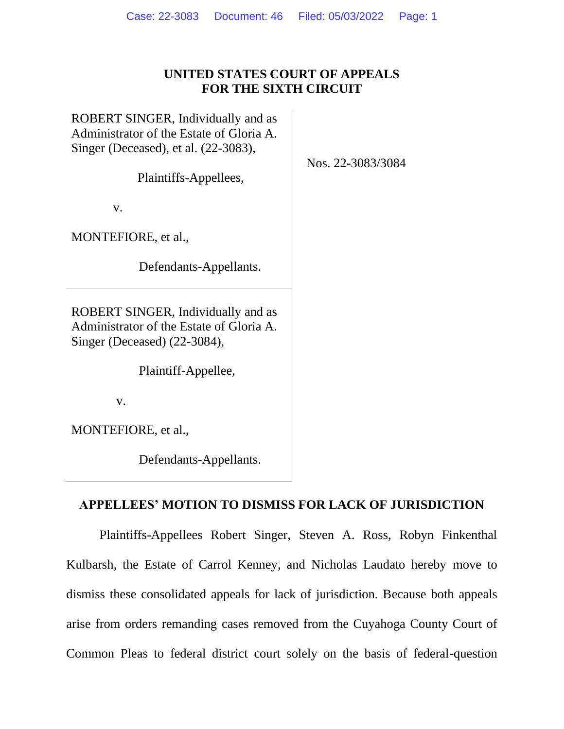# **UNITED STATES COURT OF APPEALS FOR THE SIXTH CIRCUIT**

ROBERT SINGER, Individually and as Administrator of the Estate of Gloria A. Singer (Deceased), et al. (22-3083),

Plaintiffs-Appellees,

v.

MONTEFIORE, et al.,

Defendants-Appellants.

ROBERT SINGER, Individually and as Administrator of the Estate of Gloria A. Singer (Deceased) (22-3084),

Plaintiff-Appellee,

v.

MONTEFIORE, et al.,

Defendants-Appellants.

## **APPELLEES' MOTION TO DISMISS FOR LACK OF JURISDICTION**

Plaintiffs-Appellees Robert Singer, Steven A. Ross, Robyn Finkenthal Kulbarsh, the Estate of Carrol Kenney, and Nicholas Laudato hereby move to dismiss these consolidated appeals for lack of jurisdiction. Because both appeals arise from orders remanding cases removed from the Cuyahoga County Court of Common Pleas to federal district court solely on the basis of federal-question

Nos. 22-3083/3084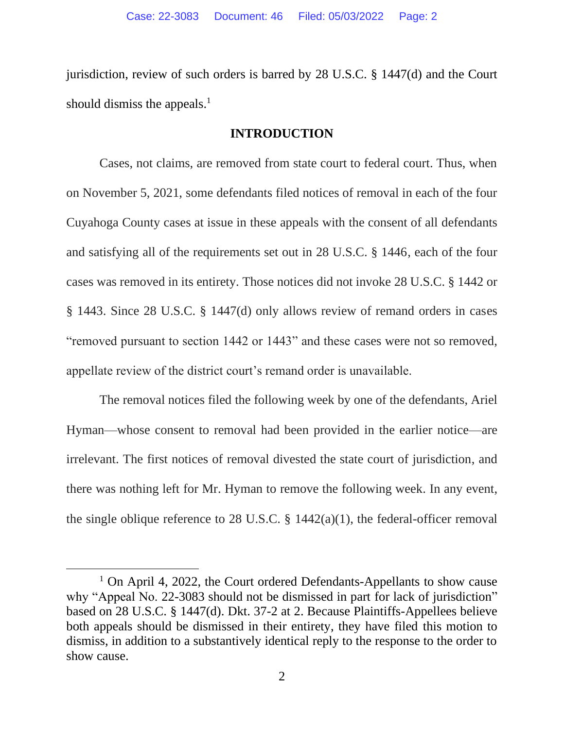jurisdiction, review of such orders is barred by 28 U.S.C. § 1447(d) and the Court should dismiss the appeals. $<sup>1</sup>$ </sup>

### **INTRODUCTION**

Cases, not claims, are removed from state court to federal court. Thus, when on November 5, 2021, some defendants filed notices of removal in each of the four Cuyahoga County cases at issue in these appeals with the consent of all defendants and satisfying all of the requirements set out in 28 U.S.C. § 1446, each of the four cases was removed in its entirety. Those notices did not invoke 28 U.S.C. § 1442 or § 1443. Since 28 U.S.C. § 1447(d) only allows review of remand orders in cases "removed pursuant to section 1442 or 1443" and these cases were not so removed, appellate review of the district court's remand order is unavailable.

The removal notices filed the following week by one of the defendants, Ariel Hyman—whose consent to removal had been provided in the earlier notice—are irrelevant. The first notices of removal divested the state court of jurisdiction, and there was nothing left for Mr. Hyman to remove the following week. In any event, the single oblique reference to 28 U.S.C.  $\S$  1442(a)(1), the federal-officer removal

 $1$  On April 4, 2022, the Court ordered Defendants-Appellants to show cause why "Appeal No. 22-3083 should not be dismissed in part for lack of jurisdiction" based on 28 U.S.C. § 1447(d). Dkt. 37-2 at 2. Because Plaintiffs-Appellees believe both appeals should be dismissed in their entirety, they have filed this motion to dismiss, in addition to a substantively identical reply to the response to the order to show cause.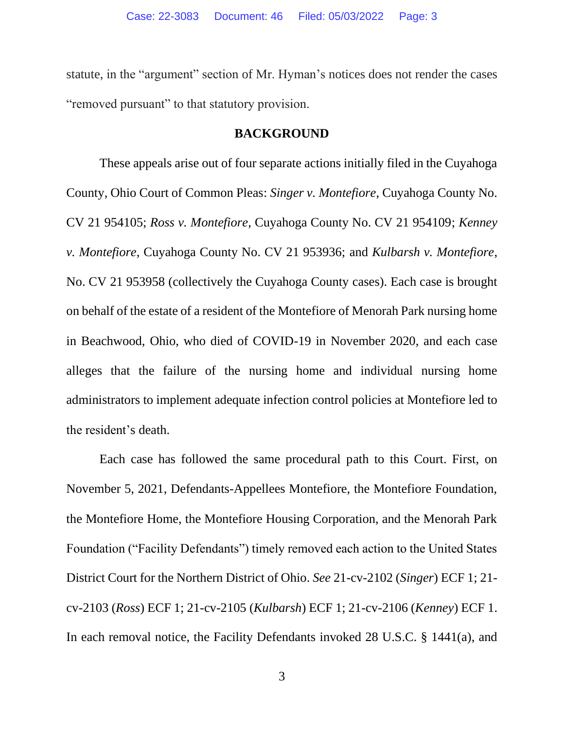statute, in the "argument" section of Mr. Hyman's notices does not render the cases "removed pursuant" to that statutory provision.

### **BACKGROUND**

These appeals arise out of four separate actions initially filed in the Cuyahoga County, Ohio Court of Common Pleas: *Singer v. Montefiore*, Cuyahoga County No. CV 21 954105; *Ross v. Montefiore*, Cuyahoga County No. CV 21 954109; *Kenney v. Montefiore*, Cuyahoga County No. CV 21 953936; and *Kulbarsh v. Montefiore*, No. CV 21 953958 (collectively the Cuyahoga County cases). Each case is brought on behalf of the estate of a resident of the Montefiore of Menorah Park nursing home in Beachwood, Ohio, who died of COVID-19 in November 2020, and each case alleges that the failure of the nursing home and individual nursing home administrators to implement adequate infection control policies at Montefiore led to the resident's death.

Each case has followed the same procedural path to this Court. First, on November 5, 2021, Defendants-Appellees Montefiore, the Montefiore Foundation, the Montefiore Home, the Montefiore Housing Corporation, and the Menorah Park Foundation ("Facility Defendants") timely removed each action to the United States District Court for the Northern District of Ohio. *See* 21-cv-2102 (*Singer*) ECF 1; 21 cv-2103 (*Ross*) ECF 1; 21-cv-2105 (*Kulbarsh*) ECF 1; 21-cv-2106 (*Kenney*) ECF 1. In each removal notice, the Facility Defendants invoked 28 U.S.C. § 1441(a), and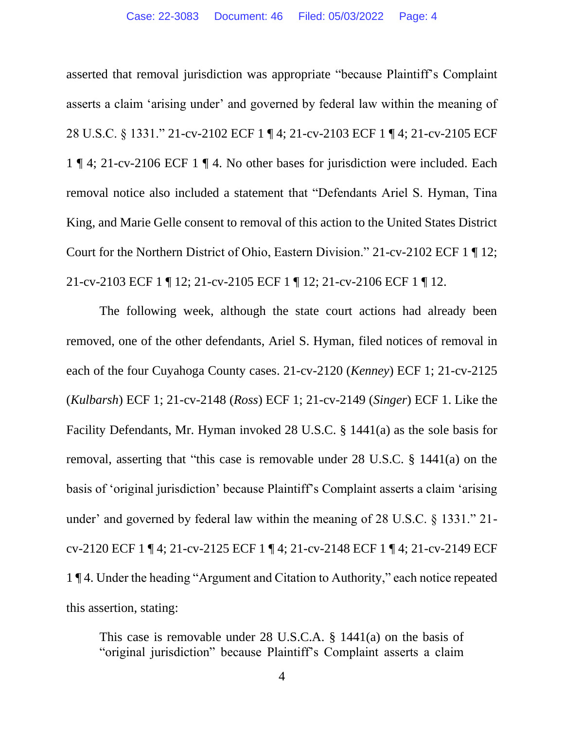asserted that removal jurisdiction was appropriate "because Plaintiff's Complaint asserts a claim 'arising under' and governed by federal law within the meaning of 28 U.S.C. § 1331." 21-cv-2102 ECF 1 ¶ 4; 21-cv-2103 ECF 1 ¶ 4; 21-cv-2105 ECF 1 ¶ 4; 21-cv-2106 ECF 1 ¶ 4. No other bases for jurisdiction were included. Each removal notice also included a statement that "Defendants Ariel S. Hyman, Tina King, and Marie Gelle consent to removal of this action to the United States District Court for the Northern District of Ohio, Eastern Division." 21-cv-2102 ECF 1 ¶ 12; 21-cv-2103 ECF 1 ¶ 12; 21-cv-2105 ECF 1 ¶ 12; 21-cv-2106 ECF 1 ¶ 12.

The following week, although the state court actions had already been removed, one of the other defendants, Ariel S. Hyman, filed notices of removal in each of the four Cuyahoga County cases. 21-cv-2120 (*Kenney*) ECF 1; 21-cv-2125 (*Kulbarsh*) ECF 1; 21-cv-2148 (*Ross*) ECF 1; 21-cv-2149 (*Singer*) ECF 1. Like the Facility Defendants, Mr. Hyman invoked 28 U.S.C. § 1441(a) as the sole basis for removal, asserting that "this case is removable under 28 U.S.C. § 1441(a) on the basis of 'original jurisdiction' because Plaintiff's Complaint asserts a claim 'arising under' and governed by federal law within the meaning of 28 U.S.C. § 1331." 21 cv-2120 ECF 1 ¶ 4; 21-cv-2125 ECF 1 ¶ 4; 21-cv-2148 ECF 1 ¶ 4; 21-cv-2149 ECF 1 ¶ 4. Under the heading "Argument and Citation to Authority," each notice repeated this assertion, stating:

This case is removable under 28 U.S.C.A. § 1441(a) on the basis of "original jurisdiction" because Plaintiff's Complaint asserts a claim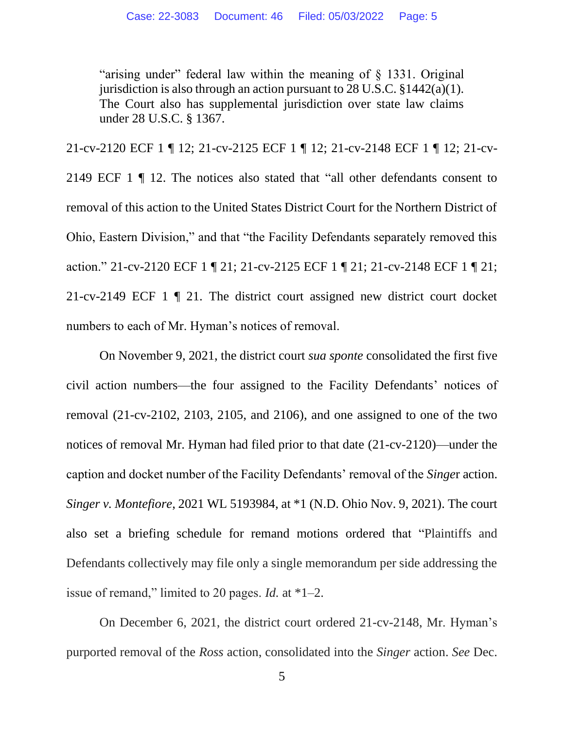"arising under" federal law within the meaning of § 1331. Original jurisdiction is also through an action pursuant to 28 U.S.C.  $\S 1442(a)(1)$ . The Court also has supplemental jurisdiction over state law claims under 28 U.S.C. § 1367.

21-cv-2120 ECF 1 ¶ 12; 21-cv-2125 ECF 1 ¶ 12; 21-cv-2148 ECF 1 ¶ 12; 21-cv-2149 ECF 1 ¶ 12. The notices also stated that "all other defendants consent to removal of this action to the United States District Court for the Northern District of Ohio, Eastern Division," and that "the Facility Defendants separately removed this action." 21-cv-2120 ECF 1 ¶ 21; 21-cv-2125 ECF 1 ¶ 21; 21-cv-2148 ECF 1 ¶ 21; 21-cv-2149 ECF 1 ¶ 21. The district court assigned new district court docket numbers to each of Mr. Hyman's notices of removal.

On November 9, 2021, the district court *sua sponte* consolidated the first five civil action numbers—the four assigned to the Facility Defendants' notices of removal (21-cv-2102, 2103, 2105, and 2106), and one assigned to one of the two notices of removal Mr. Hyman had filed prior to that date (21-cv-2120)—under the caption and docket number of the Facility Defendants' removal of the *Singe*r action. *Singer v. Montefiore*, 2021 WL 5193984, at \*1 (N.D. Ohio Nov. 9, 2021). The court also set a briefing schedule for remand motions ordered that "Plaintiffs and Defendants collectively may file only a single memorandum per side addressing the issue of remand," limited to 20 pages. *Id.* at \*1–2.

On December 6, 2021, the district court ordered 21-cv-2148, Mr. Hyman's purported removal of the *Ross* action, consolidated into the *Singer* action. *See* Dec.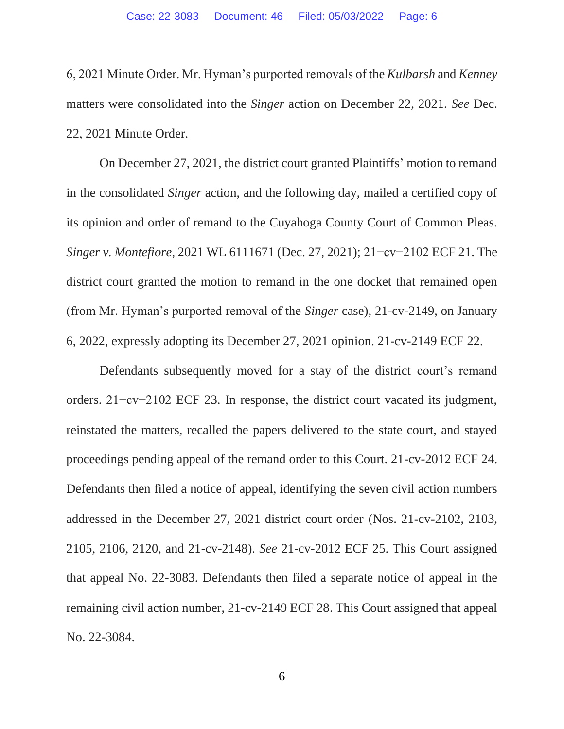6, 2021 Minute Order. Mr. Hyman's purported removals of the *Kulbarsh* and *Kenney* matters were consolidated into the *Singer* action on December 22, 2021. *See* Dec. 22, 2021 Minute Order.

On December 27, 2021, the district court granted Plaintiffs' motion to remand in the consolidated *Singer* action, and the following day, mailed a certified copy of its opinion and order of remand to the Cuyahoga County Court of Common Pleas. *Singer v. Montefiore*, 2021 WL 6111671 (Dec. 27, 2021); 21−cv−2102 ECF 21. The district court granted the motion to remand in the one docket that remained open (from Mr. Hyman's purported removal of the *Singer* case), 21-cv-2149, on January 6, 2022, expressly adopting its December 27, 2021 opinion. 21-cv-2149 ECF 22.

Defendants subsequently moved for a stay of the district court's remand orders. 21−cv−2102 ECF 23. In response, the district court vacated its judgment, reinstated the matters, recalled the papers delivered to the state court, and stayed proceedings pending appeal of the remand order to this Court. 21-cv-2012 ECF 24. Defendants then filed a notice of appeal, identifying the seven civil action numbers addressed in the December 27, 2021 district court order (Nos. 21-cv-2102, 2103, 2105, 2106, 2120, and 21-cv-2148). *See* 21-cv-2012 ECF 25. This Court assigned that appeal No. 22-3083. Defendants then filed a separate notice of appeal in the remaining civil action number, 21-cv-2149 ECF 28. This Court assigned that appeal No. 22-3084.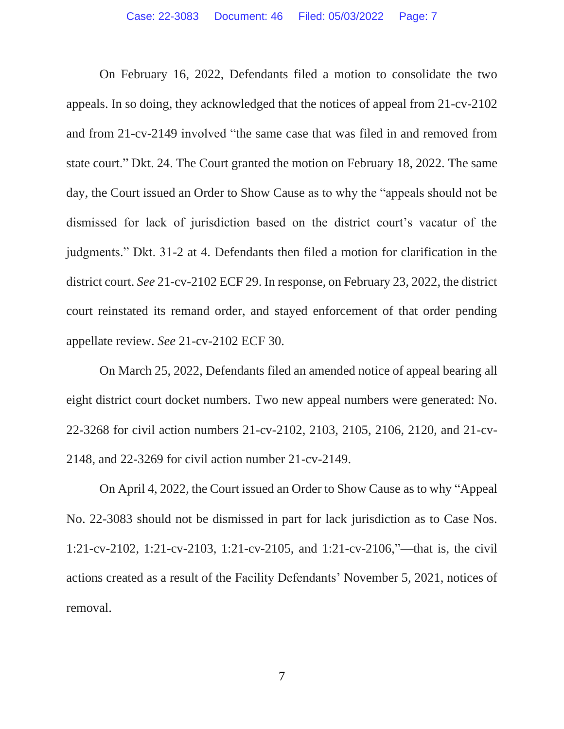On February 16, 2022, Defendants filed a motion to consolidate the two appeals. In so doing, they acknowledged that the notices of appeal from 21-cv-2102 and from 21-cv-2149 involved "the same case that was filed in and removed from state court." Dkt. 24. The Court granted the motion on February 18, 2022. The same day, the Court issued an Order to Show Cause as to why the "appeals should not be dismissed for lack of jurisdiction based on the district court's vacatur of the judgments." Dkt. 31-2 at 4. Defendants then filed a motion for clarification in the district court. *See* 21-cv-2102 ECF 29. In response, on February 23, 2022, the district court reinstated its remand order, and stayed enforcement of that order pending appellate review. *See* 21-cv-2102 ECF 30.

On March 25, 2022, Defendants filed an amended notice of appeal bearing all eight district court docket numbers. Two new appeal numbers were generated: No. 22-3268 for civil action numbers 21-cv-2102, 2103, 2105, 2106, 2120, and 21-cv-2148, and 22-3269 for civil action number 21-cv-2149.

On April 4, 2022, the Court issued an Order to Show Cause as to why "Appeal No. 22-3083 should not be dismissed in part for lack jurisdiction as to Case Nos. 1:21-cv-2102, 1:21-cv-2103, 1:21-cv-2105, and 1:21-cv-2106,"—that is, the civil actions created as a result of the Facility Defendants' November 5, 2021, notices of removal.

7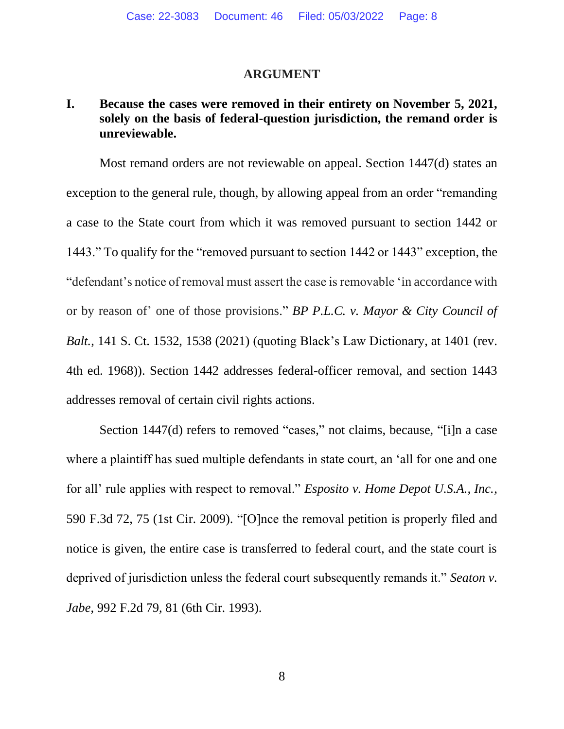#### **ARGUMENT**

# **I. Because the cases were removed in their entirety on November 5, 2021, solely on the basis of federal-question jurisdiction, the remand order is unreviewable.**

Most remand orders are not reviewable on appeal. Section 1447(d) states an exception to the general rule, though, by allowing appeal from an order "remanding a case to the State court from which it was removed pursuant to section 1442 or 1443." To qualify for the "removed pursuant to section 1442 or 1443" exception, the "defendant's notice of removal must assert the case is removable 'in accordance with or by reason of' one of those provisions." *BP P.L.C. v. Mayor & City Council of Balt.*, 141 S. Ct. 1532, 1538 (2021) (quoting Black's Law Dictionary, at 1401 (rev. 4th ed. 1968)). Section 1442 addresses federal-officer removal, and section 1443 addresses removal of certain civil rights actions.

Section 1447(d) refers to removed "cases," not claims, because, "[i]n a case where a plaintiff has sued multiple defendants in state court, an 'all for one and one for all' rule applies with respect to removal." *Esposito v. Home Depot U.S.A., Inc.*, 590 F.3d 72, 75 (1st Cir. 2009). "[O]nce the removal petition is properly filed and notice is given, the entire case is transferred to federal court, and the state court is deprived of jurisdiction unless the federal court subsequently remands it." *Seaton v. Jabe*, 992 F.2d 79, 81 (6th Cir. 1993).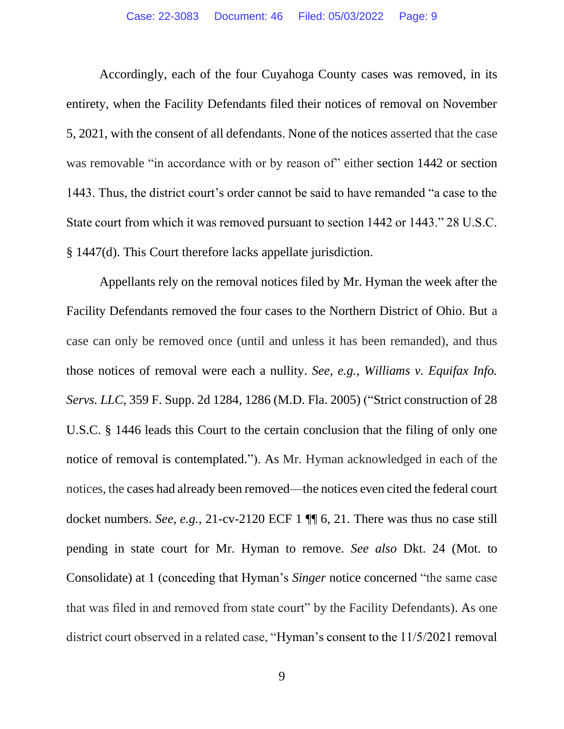Accordingly, each of the four Cuyahoga County cases was removed, in its entirety, when the Facility Defendants filed their notices of removal on November 5, 2021, with the consent of all defendants. None of the notices asserted that the case was removable "in accordance with or by reason of" either section 1442 or section 1443. Thus, the district court's order cannot be said to have remanded "a case to the State court from which it was removed pursuant to section 1442 or 1443." 28 U.S.C. § 1447(d). This Court therefore lacks appellate jurisdiction.

Appellants rely on the removal notices filed by Mr. Hyman the week after the Facility Defendants removed the four cases to the Northern District of Ohio. But a case can only be removed once (until and unless it has been remanded), and thus those notices of removal were each a nullity. *See, e.g.*, *Williams v. Equifax Info. Servs. LLC*, 359 F. Supp. 2d 1284, 1286 (M.D. Fla. 2005) ("Strict construction of 28 U.S.C. § 1446 leads this Court to the certain conclusion that the filing of only one notice of removal is contemplated."). As Mr. Hyman acknowledged in each of the notices, the cases had already been removed—the notices even cited the federal court docket numbers. *See, e.g.*, 21-cv-2120 ECF 1 ¶¶ 6, 21. There was thus no case still pending in state court for Mr. Hyman to remove. *See also* Dkt. 24 (Mot. to Consolidate) at 1 (conceding that Hyman's *Singer* notice concerned "the same case that was filed in and removed from state court" by the Facility Defendants). As one district court observed in a related case, "Hyman's consent to the 11/5/2021 removal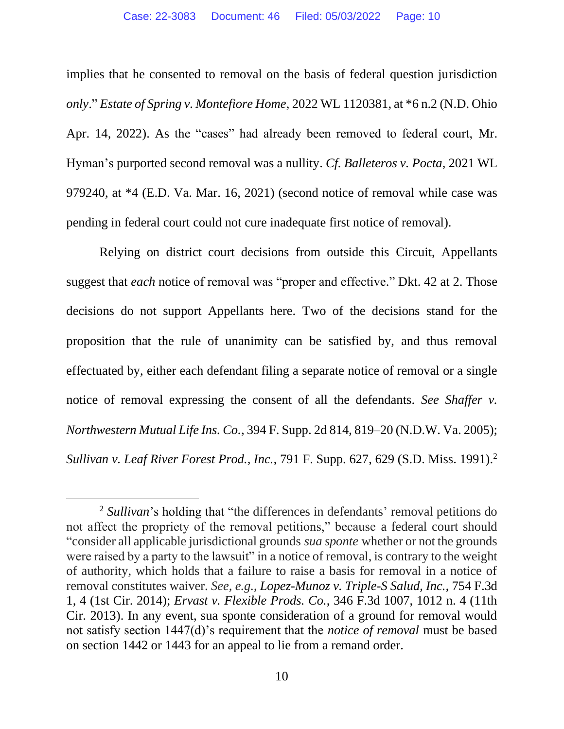implies that he consented to removal on the basis of federal question jurisdiction *only*." *Estate of Spring v. Montefiore Home*, 2022 WL 1120381, at \*6 n.2 (N.D. Ohio Apr. 14, 2022). As the "cases" had already been removed to federal court, Mr. Hyman's purported second removal was a nullity. *Cf. Balleteros v. Pocta*, 2021 WL 979240, at \*4 (E.D. Va. Mar. 16, 2021) (second notice of removal while case was pending in federal court could not cure inadequate first notice of removal).

Relying on district court decisions from outside this Circuit, Appellants suggest that *each* notice of removal was "proper and effective." Dkt. 42 at 2. Those decisions do not support Appellants here. Two of the decisions stand for the proposition that the rule of unanimity can be satisfied by, and thus removal effectuated by, either each defendant filing a separate notice of removal or a single notice of removal expressing the consent of all the defendants. *See Shaffer v. Northwestern Mutual Life Ins. Co.*, 394 F. Supp. 2d 814, 819–20 (N.D.W. Va. 2005); *Sullivan v. Leaf River Forest Prod., Inc., 791 F. Supp. 627, 629 (S.D. Miss. 1991).*<sup>2</sup>

<sup>2</sup> *Sullivan*'s holding that "the differences in defendants' removal petitions do not affect the propriety of the removal petitions," because a federal court should "consider all applicable jurisdictional grounds *sua sponte* whether or not the grounds were raised by a party to the lawsuit" in a notice of removal, is contrary to the weight of authority, which holds that a failure to raise a basis for removal in a notice of removal constitutes waiver. *See, e.g.*, *Lopez-Munoz v. Triple-S Salud, Inc.*, 754 F.3d 1, 4 (1st Cir. 2014); *Ervast v. Flexible Prods. Co.*, 346 F.3d 1007, 1012 n. 4 (11th Cir. 2013). In any event, sua sponte consideration of a ground for removal would not satisfy section 1447(d)'s requirement that the *notice of removal* must be based on section 1442 or 1443 for an appeal to lie from a remand order.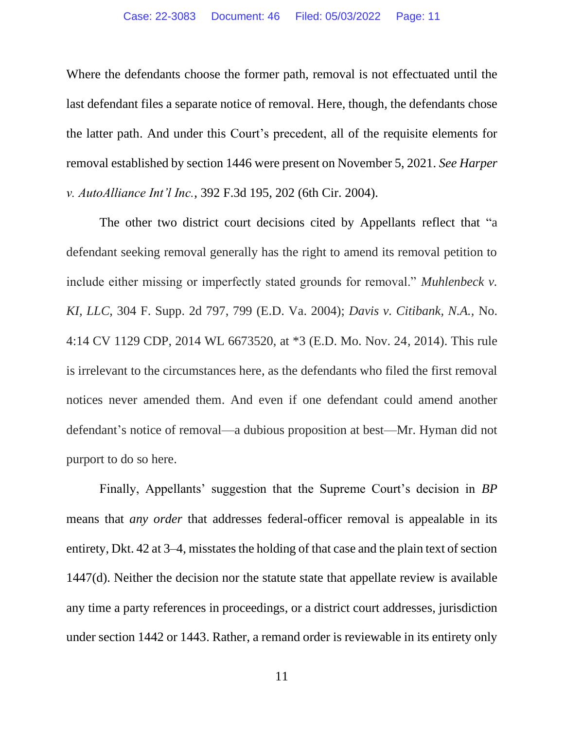Where the defendants choose the former path, removal is not effectuated until the last defendant files a separate notice of removal. Here, though, the defendants chose the latter path. And under this Court's precedent, all of the requisite elements for removal established by section 1446 were present on November 5, 2021. *See Harper v. AutoAlliance Int'l Inc.*, 392 F.3d 195, 202 (6th Cir. 2004).

The other two district court decisions cited by Appellants reflect that "a defendant seeking removal generally has the right to amend its removal petition to include either missing or imperfectly stated grounds for removal." *Muhlenbeck v. KI, LLC*, 304 F. Supp. 2d 797, 799 (E.D. Va. 2004); *Davis v. Citibank, N.A.,* No. 4:14 CV 1129 CDP, 2014 WL 6673520, at \*3 (E.D. Mo. Nov. 24, 2014). This rule is irrelevant to the circumstances here, as the defendants who filed the first removal notices never amended them. And even if one defendant could amend another defendant's notice of removal—a dubious proposition at best—Mr. Hyman did not purport to do so here.

Finally, Appellants' suggestion that the Supreme Court's decision in *BP*  means that *any order* that addresses federal-officer removal is appealable in its entirety, Dkt. 42 at 3–4, misstates the holding of that case and the plain text of section 1447(d). Neither the decision nor the statute state that appellate review is available any time a party references in proceedings, or a district court addresses, jurisdiction under section 1442 or 1443. Rather, a remand order is reviewable in its entirety only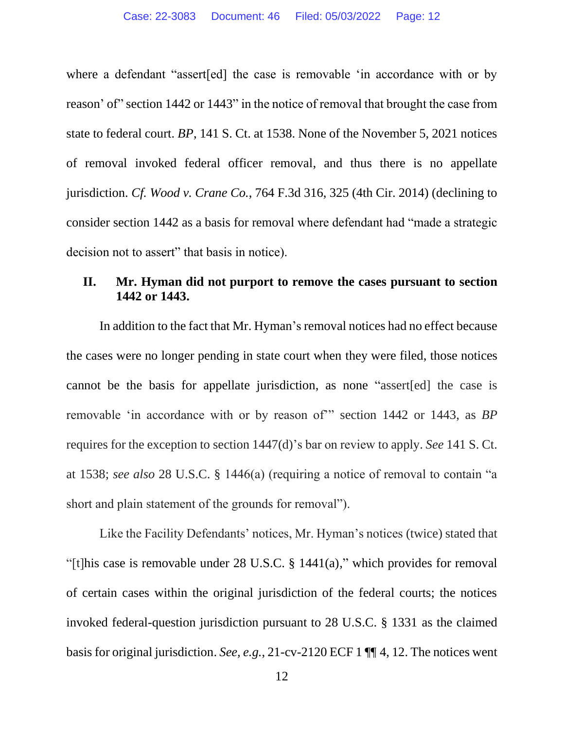where a defendant "assert[ed] the case is removable 'in accordance with or by reason' of" section 1442 or 1443" in the notice of removal that brought the case from state to federal court. *BP*, 141 S. Ct. at 1538. None of the November 5, 2021 notices of removal invoked federal officer removal, and thus there is no appellate jurisdiction. *Cf. Wood v. Crane Co.*, 764 F.3d 316, 325 (4th Cir. 2014) (declining to consider section 1442 as a basis for removal where defendant had "made a strategic decision not to assert" that basis in notice).

## **II. Mr. Hyman did not purport to remove the cases pursuant to section 1442 or 1443.**

In addition to the fact that Mr. Hyman's removal notices had no effect because the cases were no longer pending in state court when they were filed, those notices cannot be the basis for appellate jurisdiction, as none "assert[ed] the case is removable 'in accordance with or by reason of'" section 1442 or 1443, as *BP*  requires for the exception to section 1447(d)'s bar on review to apply. *See* 141 S. Ct. at 1538; *see also* 28 U.S.C. § 1446(a) (requiring a notice of removal to contain "a short and plain statement of the grounds for removal").

Like the Facility Defendants' notices, Mr. Hyman's notices (twice) stated that "[t]his case is removable under 28 U.S.C. § 1441(a)," which provides for removal of certain cases within the original jurisdiction of the federal courts; the notices invoked federal-question jurisdiction pursuant to 28 U.S.C. § 1331 as the claimed basis for original jurisdiction. *See, e.g.*, 21-cv-2120 ECF 1 ¶¶ 4, 12. The notices went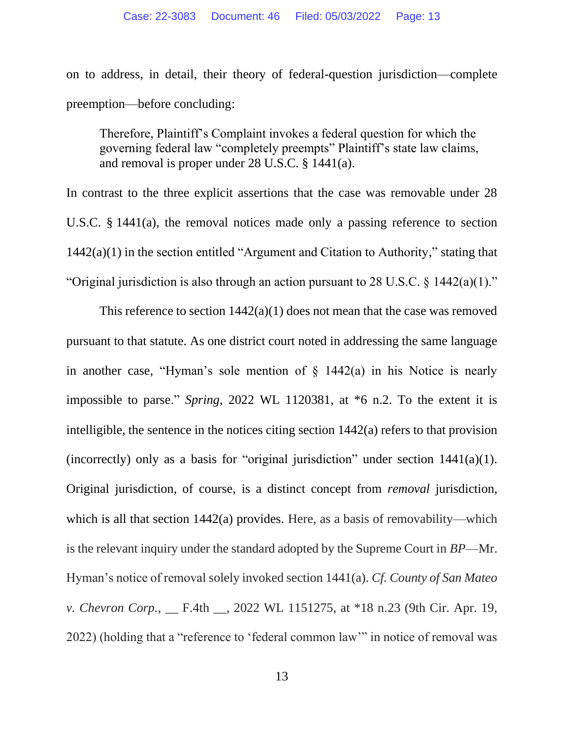on to address, in detail, their theory of federal-question jurisdiction—complete preemption—before concluding:

Therefore, Plaintiff's Complaint invokes a federal question for which the governing federal law "completely preempts" Plaintiff's state law claims, and removal is proper under 28 U.S.C. § 1441(a).

In contrast to the three explicit assertions that the case was removable under 28 U.S.C. § 1441(a), the removal notices made only a passing reference to section 1442(a)(1) in the section entitled "Argument and Citation to Authority," stating that "Original jurisdiction is also through an action pursuant to 28 U.S.C. § 1442(a)(1)."

This reference to section  $1442(a)(1)$  does not mean that the case was removed pursuant to that statute. As one district court noted in addressing the same language in another case, "Hyman's sole mention of  $\S$  1442(a) in his Notice is nearly impossible to parse." *Spring*, 2022 WL 1120381, at \*6 n.2. To the extent it is intelligible, the sentence in the notices citing section 1442(a) refers to that provision (incorrectly) only as a basis for "original jurisdiction" under section 1441(a)(1). Original jurisdiction, of course, is a distinct concept from *removal* jurisdiction, which is all that section 1442(a) provides. Here, as a basis of removability—which is the relevant inquiry under the standard adopted by the Supreme Court in *BP*—Mr. Hyman's notice of removal solely invoked section 1441(a). *Cf. County of San Mateo v. Chevron Corp.*, \_\_ F.4th \_\_, 2022 WL 1151275, at \*18 n.23 (9th Cir. Apr. 19, 2022) (holding that a "reference to 'federal common law'" in notice of removal was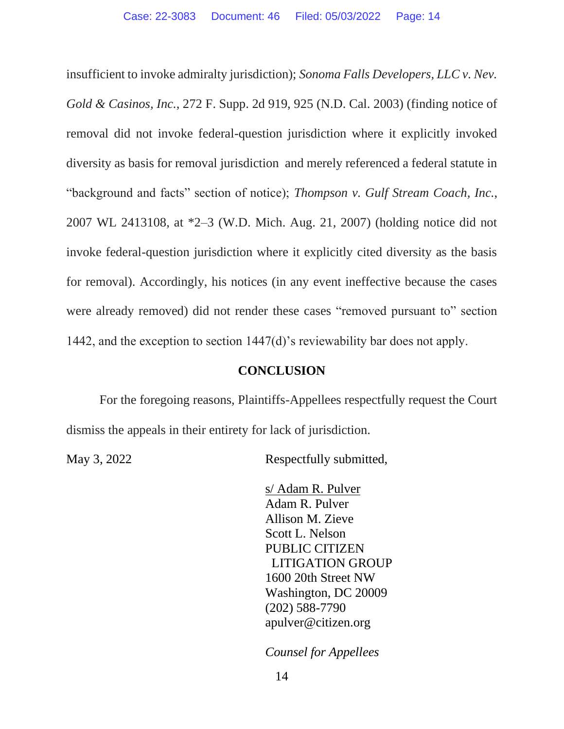insufficient to invoke admiralty jurisdiction); *Sonoma Falls Developers, LLC v. Nev. Gold & Casinos, Inc.*, 272 F. Supp. 2d 919, 925 (N.D. Cal. 2003) (finding notice of removal did not invoke federal-question jurisdiction where it explicitly invoked diversity as basis for removal jurisdiction and merely referenced a federal statute in "background and facts" section of notice); *Thompson v. Gulf Stream Coach, Inc.*, 2007 WL 2413108, at \*2–3 (W.D. Mich. Aug. 21, 2007) (holding notice did not invoke federal-question jurisdiction where it explicitly cited diversity as the basis for removal). Accordingly, his notices (in any event ineffective because the cases were already removed) did not render these cases "removed pursuant to" section 1442, and the exception to section 1447(d)'s reviewability bar does not apply.

### **CONCLUSION**

For the foregoing reasons, Plaintiffs-Appellees respectfully request the Court dismiss the appeals in their entirety for lack of jurisdiction.

May 3, 2022 Respectfully submitted,

s/ Adam R. Pulver Adam R. Pulver Allison M. Zieve Scott L. Nelson PUBLIC CITIZEN LITIGATION GROUP 1600 20th Street NW Washington, DC 20009 (202) 588-7790 apulver@citizen.org

*Counsel for Appellees*